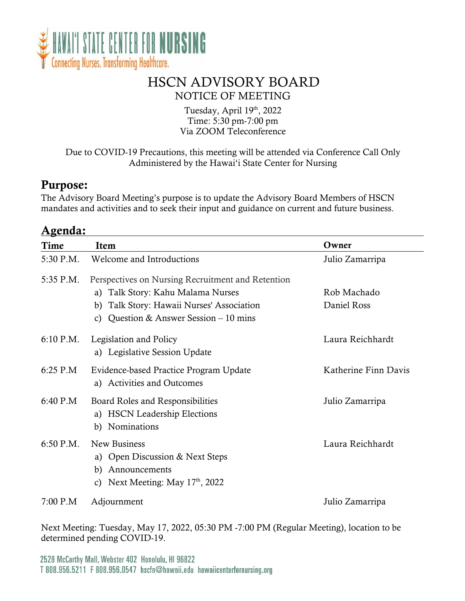

## HSCN ADVISORY BOARD NOTICE OF MEETING

Tuesday, April 19th, 2022 Time: 5:30 pm-7:00 pm Via ZOOM Teleconference

Due to COVID-19 Precautions, this meeting will be attended via Conference Call Only Administered by the Hawai'i State Center for Nursing

#### Purpose:

The Advisory Board Meeting's purpose is to update the Advisory Board Members of HSCN mandates and activities and to seek their input and guidance on current and future business.

| <u> Agenda:</u> |                                                                                                                 |                      |  |  |
|-----------------|-----------------------------------------------------------------------------------------------------------------|----------------------|--|--|
| Time            | Item                                                                                                            | Owner                |  |  |
| 5:30 P.M.       | Welcome and Introductions                                                                                       | Julio Zamarripa      |  |  |
| 5:35 P.M.       | Perspectives on Nursing Recruitment and Retention<br>a) Talk Story: Kahu Malama Nurses                          | Rob Machado          |  |  |
|                 | b) Talk Story: Hawaii Nurses' Association<br>Question & Answer Session $-10$ mins<br>C)                         | Daniel Ross          |  |  |
| $6:10$ P.M.     | Legislation and Policy<br>a) Legislative Session Update                                                         | Laura Reichhardt     |  |  |
| $6:25$ P.M      | Evidence-based Practice Program Update<br>a) Activities and Outcomes                                            | Katherine Finn Davis |  |  |
| $6:40$ P.M      | Board Roles and Responsibilities<br>a) HSCN Leadership Elections<br>b) Nominations                              | Julio Zamarripa      |  |  |
| 6:50 P.M.       | New Business<br>a) Open Discussion & Next Steps<br>Announcements<br>b)<br>Next Meeting: May $17th$ , 2022<br>C) | Laura Reichhardt     |  |  |
| 7:00 P.M        | Adjournment                                                                                                     | Julio Zamarripa      |  |  |

Next Meeting: Tuesday, May 17, 2022, 05:30 PM -7:00 PM (Regular Meeting), location to be determined pending COVID-19.

2528 McCarthy Mall, Webster 402 Honolulu, HI 96822 T 808.956.5211 F 808.956.0547 hscfn@hawaii.edu hawaiicenterfornursing.org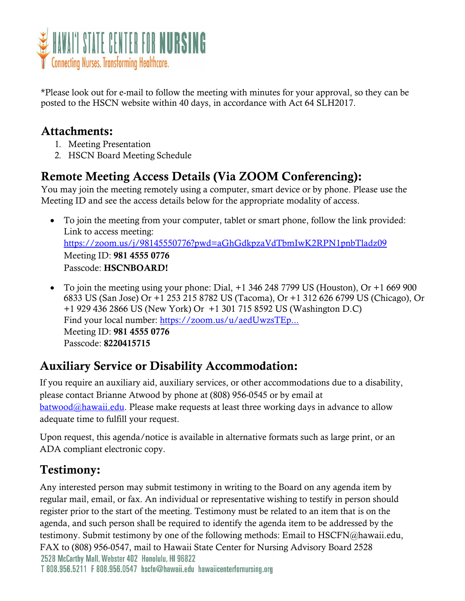

\*Please look out for e-mail to follow the meeting with minutes for your approval, so they can be posted to the HSCN website within 40 days, in accordance with Act 64 SLH2017.

### Attachments:

- 1. Meeting Presentation
- 2. HSCN Board Meeting Schedule

# Remote Meeting Access Details (Via ZOOM Conferencing):

You may join the meeting remotely using a computer, smart device or by phone. Please use the Meeting ID and see the access details below for the appropriate modality of access.

- To join the meeting from your computer, tablet or smart phone, follow the link provided: Link to access meeting: <https://zoom.us/j/98145550776?pwd=aGhGdkpzaVdTbmIwK2RPN1pnbTladz09> Meeting ID: 981 4555 0776 Passcode: HSCNBOARD!
- To join the meeting using your phone: Dial, +1 346 248 7799 US (Houston), Or +1 669 900 6833 US (San Jose) Or +1 253 215 8782 US (Tacoma), Or +1 312 626 6799 US (Chicago), Or +1 929 436 2866 US (New York) Or +1 301 715 8592 US (Washington D.C) Find your local number: [https://zoom.us/u/aedUwzsTEp...](https://www.google.com/url?q=https://zoom.us/u/aedUwzsTEp&sa=D&source=calendar&ust=1642268374863898&usg=AOvVaw1eKB8Cyekdy_awkhdQ0C5W) Meeting ID: 981 4555 0776 Passcode: 8220415715

## Auxiliary Service or Disability Accommodation:

If you require an auxiliary aid, auxiliary services, or other accommodations due to a disability, please contact Brianne Atwood by phone at (808) 956-0545 or by email at  $batwood@hawaii.edu.$  Please make requests at least three working days in advance to allow adequate time to fulfill your request.

Upon request, this agenda/notice is available in alternative formats such as large print, or an ADA compliant electronic copy.

# Testimony:

Any interested person may submit testimony in writing to the Board on any agenda item by regular mail, email, or fax. An individual or representative wishing to testify in person should register prior to the start of the meeting. Testimony must be related to an item that is on the agenda, and such person shall be required to identify the agenda item to be addressed by the testimony. Submit testimony by one of the following methods: Email to HSCFN@hawaii.edu, FAX to (808) 956-0547, mail to Hawaii State Center for Nursing Advisory Board 2528 2528 McCarthy Mall, Webster 402 Honolulu, HI 96822 T 808.956.5211 F 808.956.0547 hscfn@hawaii.edu hawaiicenterfornursing.org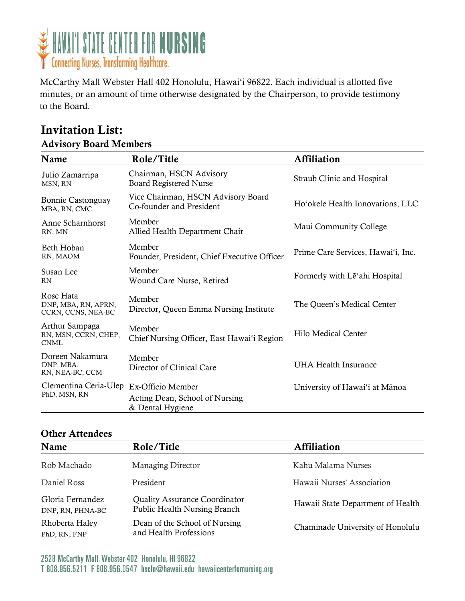

McCarthy Mall Webster Hall 402 Honolulu, Hawai'i 96822. Each individual is allotted five minutes, or an amount of time otherwise designated by the Chairperson, to provide testimony to the Board.

#### Invitation List: Advisory Board Members

| Name                                                   | Role/Title                                                     | <b>Affiliation</b>                 |  |  |  |
|--------------------------------------------------------|----------------------------------------------------------------|------------------------------------|--|--|--|
| Julio Zamarripa<br>MSN, RN                             | Chairman, HSCN Advisory<br>Board Registered Nurse              | Straub Clinic and Hospital         |  |  |  |
| Bonnie Castonguay<br>MBA, RN, CMC                      | Vice Chairman, HSCN Advisory Board<br>Co-founder and President | Ho'okele Health Innovations, LLC   |  |  |  |
| Anne Scharnhorst<br>RN, MN                             | Member<br>Allied Health Department Chair                       | Maui Community College             |  |  |  |
| Beth Hoban<br>RN, MAOM                                 | Member<br>Founder, President, Chief Executive Officer          | Prime Care Services, Hawai'i, Inc. |  |  |  |
| Susan Lee<br><b>RN</b>                                 | Member<br>Wound Care Nurse, Retired                            | Formerly with Le'ahi Hospital      |  |  |  |
| Rose Hata<br>DNP, MBA, RN, APRN,<br>CCRN, CCNS, NEA-BC | Member<br>Director, Queen Emma Nursing Institute               | The Queen's Medical Center         |  |  |  |
| Arthur Sampaga<br>RN, MSN, CCRN, CHEP,<br><b>CNML</b>  | Member<br>Chief Nursing Officer, East Hawai'i Region           | Hilo Medical Center                |  |  |  |
| Doreen Nakamura<br>DNP, MBA,<br>RN, NEA-BC, CCM        | Member<br>Director of Clinical Care                            | <b>UHA Health Insurance</b>        |  |  |  |
| Clementina Ceria-Ulep Ex-Officio Member                |                                                                | University of Hawai'i at Mānoa     |  |  |  |
| PhD, MSN, RN                                           | Acting Dean, School of Nursing<br>& Dental Hygiene             |                                    |  |  |  |

#### Other Attendees

| Name                                 | Role/Title                                                                  | <b>Affiliation</b>                |
|--------------------------------------|-----------------------------------------------------------------------------|-----------------------------------|
| Rob Machado                          | <b>Managing Director</b>                                                    | Kahu Malama Nurses                |
| Daniel Ross                          | President                                                                   | Hawaii Nurses' Association        |
| Gloria Fernandez<br>DNP, RN, PHNA-BC | <b>Quality Assurance Coordinator</b><br><b>Public Health Nursing Branch</b> | Hawaii State Department of Health |
| Rhoberta Haley<br>PhD, RN, FNP       | Dean of the School of Nursing<br>and Health Professions                     | Chaminade University of Honolulu  |